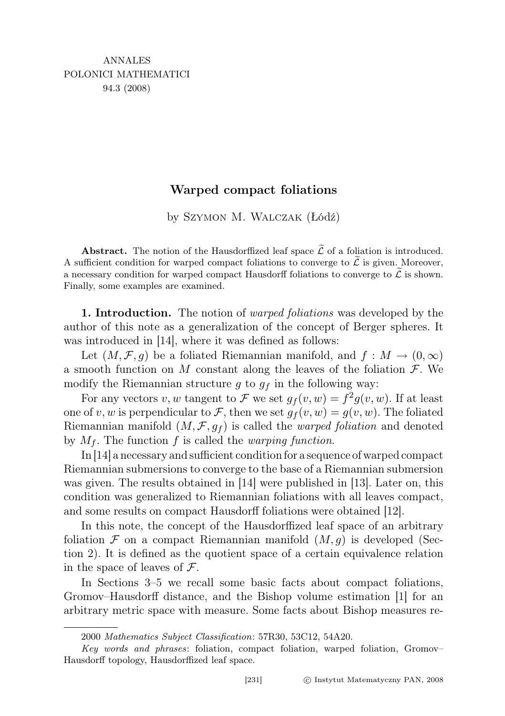## Warped compact foliations

by Szymon M. Walczak (Łódź)

**Abstract.** The notion of the Hausdorffized leaf space  $\widetilde{\mathcal{L}}$  of a foliation is introduced. A sufficient condition for warped compact foliations to converge to  $\tilde{\mathcal{L}}$  is given. Moreover, a necessary condition for warped compact Hausdorff foliations to converge to  $\mathcal L$  is shown. Finally, some examples are examined.

1. Introduction. The notion of *warped foliations* was developed by the author of this note as a generalization of the concept of Berger spheres. It was introduced in [14], where it was defined as follows:

Let  $(M, \mathcal{F}, g)$  be a foliated Riemannian manifold, and  $f : M \to (0, \infty)$ a smooth function on M constant along the leaves of the foliation  $\mathcal F$ . We modify the Riemannian structure g to  $g_f$  in the following way:

For any vectors v, w tangent to F we set  $g_f(v, w) = f^2 g(v, w)$ . If at least one of v, w is perpendicular to F, then we set  $g_f(v, w) = g(v, w)$ . The foliated Riemannian manifold  $(M, \mathcal{F}, q_f)$  is called the *warped foliation* and denoted by  $M_f$ . The function f is called the *warping function*.

In [14] a necessary and sufficient condition for a sequence of warped compact Riemannian submersions to converge to the base of a Riemannian submersion was given. The results obtained in [14] were published in [13]. Later on, this condition was generalized to Riemannian foliations with all leaves compact, and some results on compact Hausdorff foliations were obtained [12].

In this note, the concept of the Hausdorffized leaf space of an arbitrary foliation  $\mathcal F$  on a compact Riemannian manifold  $(M, g)$  is developed (Section 2). It is defined as the quotient space of a certain equivalence relation in the space of leaves of  $\mathcal{F}$ .

In Sections 3–5 we recall some basic facts about compact foliations, Gromov–Hausdorff distance, and the Bishop volume estimation [1] for an arbitrary metric space with measure. Some facts about Bishop measures re-

<sup>2000</sup> Mathematics Subject Classification: 57R30, 53C12, 54A20.

Key words and phrases: foliation, compact foliation, warped foliation, Gromov– Hausdorff topology, Hausdorffized leaf space.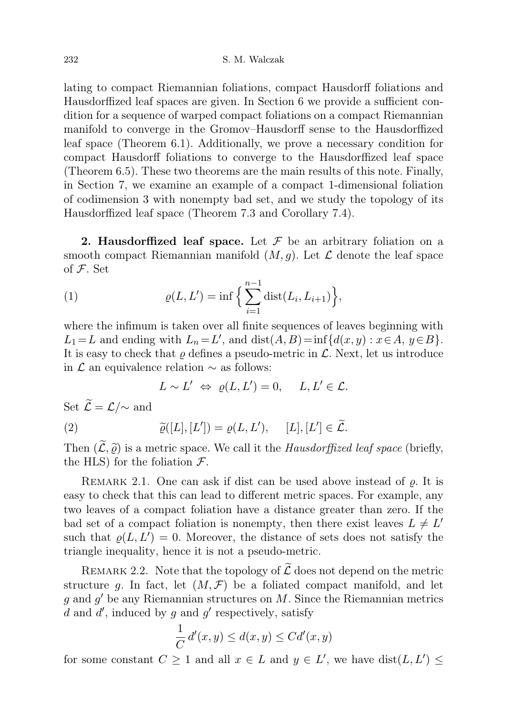lating to compact Riemannian foliations, compact Hausdorff foliations and Hausdorffized leaf spaces are given. In Section 6 we provide a sufficient condition for a sequence of warped compact foliations on a compact Riemannian manifold to converge in the Gromov–Hausdorff sense to the Hausdorffized leaf space (Theorem 6.1). Additionally, we prove a necessary condition for compact Hausdorff foliations to converge to the Hausdorffized leaf space (Theorem 6.5). These two theorems are the main results of this note. Finally, in Section 7, we examine an example of a compact 1-dimensional foliation of codimension 3 with nonempty bad set, and we study the topology of its Hausdorffized leaf space (Theorem 7.3 and Corollary 7.4).

**2. Hausdorffized leaf space.** Let  $\mathcal F$  be an arbitrary foliation on a smooth compact Riemannian manifold  $(M, g)$ . Let  $\mathcal L$  denote the leaf space of  $F$ . Set

(1) 
$$
\varrho(L, L') = \inf \Big\{ \sum_{i=1}^{n-1} \text{dist}(L_i, L_{i+1}) \Big\},\,
$$

where the infimum is taken over all finite sequences of leaves beginning with  $L_1 = L$  and ending with  $L_n = L'$ , and  $dist(A, B) = inf{d(x, y) : x \in A, y \in B}$ . It is easy to check that  $\rho$  defines a pseudo-metric in  $\mathcal{L}$ . Next, let us introduce in  $\mathcal L$  an equivalence relation  $\sim$  as follows:

$$
L \sim L' \Leftrightarrow \varrho(L, L') = 0, \quad L, L' \in \mathcal{L}.
$$

Set  $\widetilde{\mathcal{L}} = \mathcal{L}/\!\sim$  and

(2) 
$$
\widetilde{\varrho}([L],[L']) = \varrho(L,L'), \quad [L],[L'] \in \widetilde{\mathcal{L}}.
$$

Then  $(\mathcal{L}, \widetilde{\varrho})$  is a metric space. We call it the *Hausdorffized leaf space* (briefly, the HIS) for the foliction  $\mathcal{F}$ the HLS) for the foliation  $\mathcal{F}$ .

REMARK 2.1. One can ask if dist can be used above instead of  $\rho$ . It is easy to check that this can lead to different metric spaces. For example, any two leaves of a compact foliation have a distance greater than zero. If the bad set of a compact foliation is nonempty, then there exist leaves  $L \neq L'$ such that  $\rho(L, L') = 0$ . Moreover, the distance of sets does not satisfy the triangle inequality, hence it is not a pseudo-metric.

REMARK 2.2. Note that the topology of  $\widetilde{\mathcal{L}}$  does not depend on the metric structure q. In fact, let  $(M, \mathcal{F})$  be a foliated compact manifold, and let  $g$  and  $g'$  be any Riemannian structures on M. Since the Riemannian metrics d and  $d'$ , induced by g and g' respectively, satisfy

$$
\frac{1}{C} d'(x, y) \le d(x, y) \le C d'(x, y)
$$

for some constant  $C \geq 1$  and all  $x \in L$  and  $y \in L'$ , we have  $dist(L, L') \leq$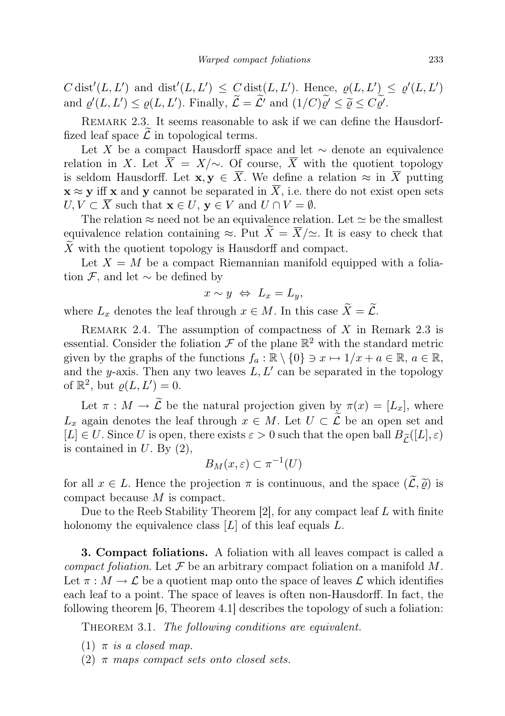C dist<sup>'</sup>(L, L') and dist'(L, L')  $\leq C$  dist(L, L'). Hence,  $\rho(L, L') \leq \rho'(L, L')$ and  $\varrho'(L, L') \leq \varrho(L, L')$ . Finally,  $\widetilde{\mathcal{L}} = \widetilde{\mathcal{L}}'$  and  $(1/C)\widetilde{\varrho'} \leq \widetilde{\varrho} \leq C\widetilde{\varrho'}.$ 

REMARK 2.3. It seems reasonable to ask if we can define the Hausdorffized leaf space  $\mathcal L$  in topological terms.

Let X be a compact Hausdorff space and let  $\sim$  denote an equivalence relation in X. Let  $\overline{X} = X/\sim$ . Of course,  $\overline{X}$  with the quotient topology is seldom Hausdorff. Let  $\mathbf{x}, \mathbf{y} \in \overline{X}$ . We define a relation  $\approx$  in  $\overline{X}$  putting  $\mathbf{x} \approx \mathbf{y}$  iff x and y cannot be separated in  $\overline{X}$ , i.e. there do not exist open sets  $U, V \subset \overline{X}$  such that  $\mathbf{x} \in U$ ,  $\mathbf{y} \in V$  and  $U \cap V = \emptyset$ .

The relation  $\approx$  need not be an equivalence relation. Let  $\simeq$  be the smallest equivalence relation containing  $\approx$ . Put  $\widetilde{X} = \overline{X}/\simeq$ . It is easy to check that X with the quotient topology is Hausdorff and compact.

Let  $X = M$  be a compact Riemannian manifold equipped with a foliation  $\mathcal{F}$ , and let  $\sim$  be defined by

$$
x \sim y \Leftrightarrow L_x = L_y,
$$

where  $L_x$  denotes the leaf through  $x \in M$ . In this case  $\widetilde{X} = \widetilde{\mathcal{L}}$ .

REMARK 2.4. The assumption of compactness of  $X$  in Remark 2.3 is essential. Consider the foliation  $\mathcal F$  of the plane  $\mathbb R^2$  with the standard metric given by the graphs of the functions  $f_a : \mathbb{R} \setminus \{0\} \ni x \mapsto 1/x + a \in \mathbb{R}, a \in \mathbb{R},$ and the y-axis. Then any two leaves  $L, L'$  can be separated in the topology of  $\mathbb{R}^2$ , but  $\varrho(L, L') = 0$ .

Let  $\pi : M \to \widetilde{\mathcal{L}}$  be the natural projection given by  $\pi(x) = [L_x]$ , where  $L_x$  again denotes the leaf through  $x \in M$ . Let  $U \subset \widetilde{\mathcal{L}}$  be an open set and  $[L] \in U$ . Since U is open, there exists  $\varepsilon > 0$  such that the open ball  $B_{\tilde{L}}([L], \varepsilon)$ is contained in  $U$ . By  $(2)$ ,

$$
B_M(x,\varepsilon) \subset \pi^{-1}(U)
$$

for all  $x \in L$ . Hence the projection  $\pi$  is continuous, and the space  $(\widetilde{\mathcal{L}}, \widetilde{\varrho})$  is compact because M is compact.

Due to the Reeb Stability Theorem  $[2]$ , for any compact leaf L with finite holonomy the equivalence class  $[L]$  of this leaf equals  $L$ .

3. Compact foliations. A foliation with all leaves compact is called a compact foliation. Let  $\mathcal F$  be an arbitrary compact foliation on a manifold M. Let  $\pi : M \to \mathcal{L}$  be a quotient map onto the space of leaves  $\mathcal{L}$  which identifies each leaf to a point. The space of leaves is often non-Hausdorff. In fact, the following theorem [6, Theorem 4.1] describes the topology of such a foliation:

THEOREM 3.1. The following conditions are equivalent.

- (1)  $\pi$  is a closed map.
- (2)  $\pi$  maps compact sets onto closed sets.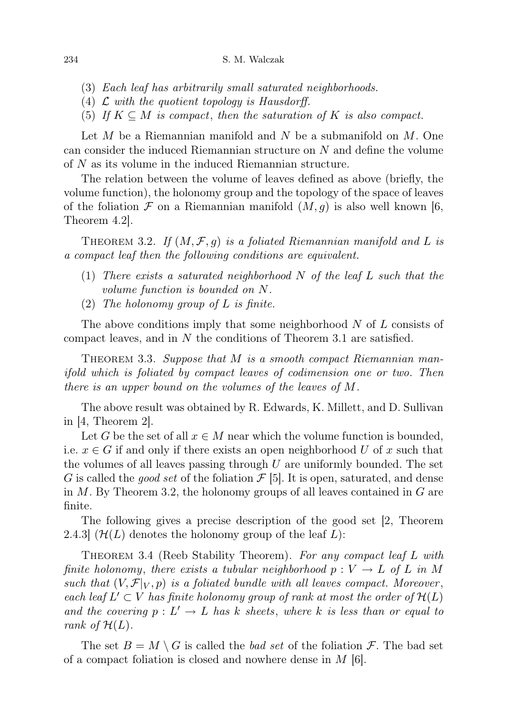- (3) Each leaf has arbitrarily small saturated neighborhoods.
- (4)  $\mathcal L$  with the quotient topology is Hausdorff.
- (5) If  $K \subseteq M$  is compact, then the saturation of K is also compact.

Let  $M$  be a Riemannian manifold and  $N$  be a submanifold on  $M$ . One can consider the induced Riemannian structure on N and define the volume of N as its volume in the induced Riemannian structure.

The relation between the volume of leaves defined as above (briefly, the volume function), the holonomy group and the topology of the space of leaves of the foliation  $\mathcal F$  on a Riemannian manifold  $(M, q)$  is also well known [6, Theorem 4.2].

THEOREM 3.2. If  $(M, \mathcal{F}, q)$  is a foliated Riemannian manifold and L is a compact leaf then the following conditions are equivalent.

- (1) There exists a saturated neighborhood  $N$  of the leaf  $L$  such that the volume function is bounded on N.
- (2) The holonomy group of  $L$  is finite.

The above conditions imply that some neighborhood  $N$  of  $L$  consists of compact leaves, and in  $N$  the conditions of Theorem 3.1 are satisfied.

THEOREM 3.3. Suppose that M is a smooth compact Riemannian manifold which is foliated by compact leaves of codimension one or two. Then there is an upper bound on the volumes of the leaves of M.

The above result was obtained by R. Edwards, K. Millett, and D. Sullivan in [4, Theorem 2].

Let G be the set of all  $x \in M$  near which the volume function is bounded, i.e.  $x \in G$  if and only if there exists an open neighborhood U of x such that the volumes of all leaves passing through  $U$  are uniformly bounded. The set G is called the *good set* of the foliation  $\mathcal{F}$  [5]. It is open, saturated, and dense in  $M$ . By Theorem 3.2, the holonomy groups of all leaves contained in  $G$  are finite.

The following gives a precise description of the good set [2, Theorem 2.4.3  $(\mathcal{H}(L)$  denotes the holonomy group of the leaf L):

THEOREM 3.4 (Reeb Stability Theorem). For any compact leaf L with finite holonomy, there exists a tubular neighborhood  $p : V \to L$  of L in M such that  $(V, \mathcal{F}|_V, p)$  is a foliated bundle with all leaves compact. Moreover, each leaf  $L' \subset V$  has finite holonomy group of rank at most the order of  $\mathcal{H}(L)$ and the covering  $p: L' \to L$  has k sheets, where k is less than or equal to rank of  $\mathcal{H}(L)$ .

The set  $B = M \setminus G$  is called the *bad set* of the foliation  $\mathcal{F}$ . The bad set of a compact foliation is closed and nowhere dense in  $M$  [6].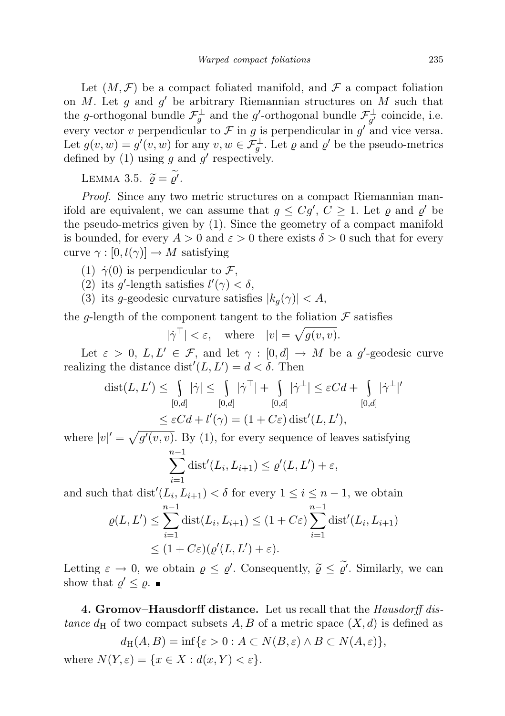Let  $(M, \mathcal{F})$  be a compact foliated manifold, and  $\mathcal F$  a compact foliation on  $M$ . Let  $g$  and  $g'$  be arbitrary Riemannian structures on  $M$  such that the g-orthogonal bundle  $\mathcal{F}^{\perp}_g$  and the g'-orthogonal bundle  $\mathcal{F}^{\perp}_{g'}$  coincide, i.e. every vector v perpendicular to  $\mathcal F$  in g is perpendicular in g' and vice versa. Let  $g(v, w) = g'(v, w)$  for any  $v, w \in \mathcal{F}^{\perp}_{g}$ . Let  $\varrho$  and  $\varrho'$  be the pseudo-metrics defined by (1) using g and  $g'$  respectively.

LEMMA 3.5.  $\widetilde{\varrho} = \widetilde{\varrho'}$ .

Proof. Since any two metric structures on a compact Riemannian manifold are equivalent, we can assume that  $g \leq Cg'$ ,  $C \geq 1$ . Let  $\varrho$  and  $\varrho'$  be the pseudo-metrics given by (1). Since the geometry of a compact manifold is bounded, for every  $A > 0$  and  $\varepsilon > 0$  there exists  $\delta > 0$  such that for every curve  $\gamma : [0, l(\gamma)] \to M$  satisfying

- (1)  $\dot{\gamma}(0)$  is perpendicular to F,
- (2) its g'-length satisfies  $l'(\gamma) < \delta$ ,
- (3) its g-geodesic curvature satisfies  $|k_q(\gamma)| < A$ ,

the g-length of the component tangent to the foliation  $\mathcal F$  satisfies

$$
|\dot{\gamma}^{\top}| < \varepsilon, \quad \text{where} \quad |v| = \sqrt{g(v, v)}.
$$

Let  $\varepsilon > 0$ ,  $L, L' \in \mathcal{F}$ , and let  $\gamma : [0, d] \to M$  be a g'-geodesic curve realizing the distance  $dist'(L, L') = d < \delta$ . Then

$$
\text{dist}(L, L') \leq \int_{[0,d]} |\dot{\gamma}| \leq \int_{[0,d]} |\dot{\gamma}^{\top}| + \int_{[0,d]} |\dot{\gamma}^{\perp}| \leq \varepsilon C d + \int_{[0,d]} |\dot{\gamma}^{\perp}|' \leq \varepsilon C d + l'(\gamma) = (1 + C\varepsilon) \text{ dist}'(L, L'),
$$

where  $|v|' = \sqrt{g'(v, v)}$ . By (1), for every sequence of leaves satisfying  $\sum_{i=1}^{n-1} \text{dist}'(L_i, L_{i+1}) \leq \varrho'(L, L') + \varepsilon,$ 

$$
\sum_{i=1} \text{dist}'(L_i, L_{i+1}) \le \varrho'(L, L') + \varepsilon,
$$

and such that  $dist'(L_i, L_{i+1}) < \delta$  for every  $1 \leq i \leq n-1$ , we obtain

$$
\varrho(L, L') \leq \sum_{i=1}^{n-1} \operatorname{dist}(L_i, L_{i+1}) \leq (1 + C\varepsilon) \sum_{i=1}^{n-1} \operatorname{dist}'(L_i, L_{i+1})
$$
  

$$
\leq (1 + C\varepsilon)(\varrho'(L, L') + \varepsilon).
$$

Letting  $\varepsilon \to 0$ , we obtain  $\varrho \leq \varrho'$ . Consequently,  $\widetilde{\varrho} \leq \widetilde{\varrho'}$ . Similarly, we can show that  $\varrho' \leq \varrho$ .

4. Gromov–Hausdorff distance. Let us recall that the Hausdorff distance  $d_H$  of two compact subsets A, B of a metric space  $(X, d)$  is defined as

$$
d_H(A, B) = \inf \{ \varepsilon > 0 : A \subset N(B, \varepsilon) \land B \subset N(A, \varepsilon) \},
$$
  
where 
$$
N(Y, \varepsilon) = \{ x \in X : d(x, Y) < \varepsilon \}.
$$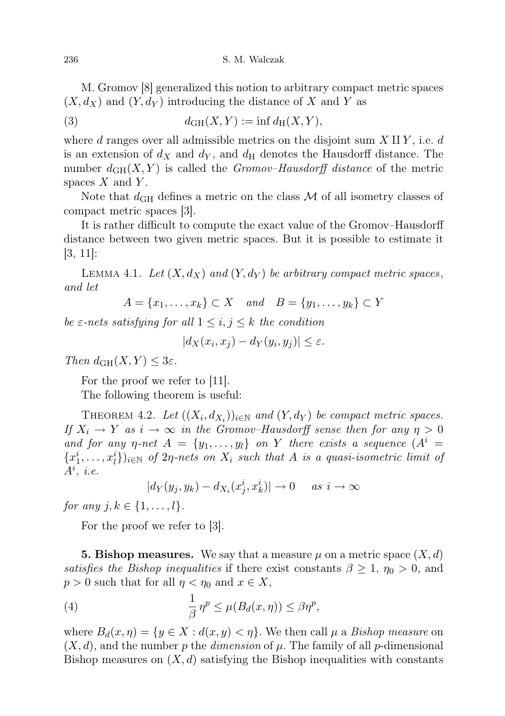M. Gromov [8] generalized this notion to arbitrary compact metric spaces  $(X, d_X)$  and  $(Y, d_Y)$  introducing the distance of X and Y as

(3) 
$$
d_{GH}(X,Y) := \inf d_H(X,Y),
$$

where d ranges over all admissible metrics on the disjoint sum  $X \amalg Y$ , i.e. d is an extension of  $d_X$  and  $d_Y$ , and  $d_H$  denotes the Hausdorff distance. The number  $d_{GH}(X, Y)$  is called the *Gromov–Hausdorff distance* of the metric spaces  $X$  and  $Y$ .

Note that  $d_{GH}$  defines a metric on the class  $M$  of all isometry classes of compact metric spaces [3].

It is rather difficult to compute the exact value of the Gromov–Hausdorff distance between two given metric spaces. But it is possible to estimate it [3, 11]:

LEMMA 4.1. Let  $(X, d_X)$  and  $(Y, d_Y)$  be arbitrary compact metric spaces, and let

$$
A = \{x_1, \ldots, x_k\} \subset X \quad and \quad B = \{y_1, \ldots, y_k\} \subset Y
$$

be  $\varepsilon$ -nets satisfying for all  $1 \leq i, j \leq k$  the condition

$$
|d_X(x_i, x_j) - d_Y(y_i, y_j)| \le \varepsilon.
$$

Then  $d_{GH}(X, Y) \leq 3\varepsilon$ .

For the proof we refer to [11].

The following theorem is useful:

THEOREM 4.2. Let  $((X_i, d_{X_i}))_{i \in \mathbb{N}}$  and  $(Y, d_Y)$  be compact metric spaces. If  $X_i \to Y$  as  $i \to \infty$  in the Gromov–Hausdorff sense then for any  $\eta > 0$ and for any *η-net*  $A = \{y_1, \ldots, y_l\}$  on Y there exists a sequence  $(A^i =$  ${x_1^i, \ldots, x_l^i}$ )<sub>i</sub> $\in \mathbb{N}$  of  $2\eta$ -nets on  $X_i$  such that A is a quasi-isometric limit of  $A^i$ , *i.e.* 

$$
|d_Y(y_j, y_k) - d_{X_i}(x_j^i, x_k^i)| \to 0 \quad \text{as } i \to \infty
$$

for any  $j, k \in \{1, ..., l\}$ .

For the proof we refer to  $|3|$ .

**5. Bishop measures.** We say that a measure  $\mu$  on a metric space  $(X, d)$ satisfies the Bishop inequalities if there exist constants  $\beta \geq 1$ ,  $\eta_0 > 0$ , and  $p > 0$  such that for all  $\eta < \eta_0$  and  $x \in X$ ,

(4) 
$$
\frac{1}{\beta} \eta^{p} \leq \mu(B_d(x, \eta)) \leq \beta \eta^{p},
$$

where  $B_d(x, \eta) = \{y \in X : d(x, y) < \eta\}$ . We then call  $\mu$  a *Bishop measure* on  $(X, d)$ , and the number p the dimension of  $\mu$ . The family of all p-dimensional Bishop measures on  $(X, d)$  satisfying the Bishop inequalities with constants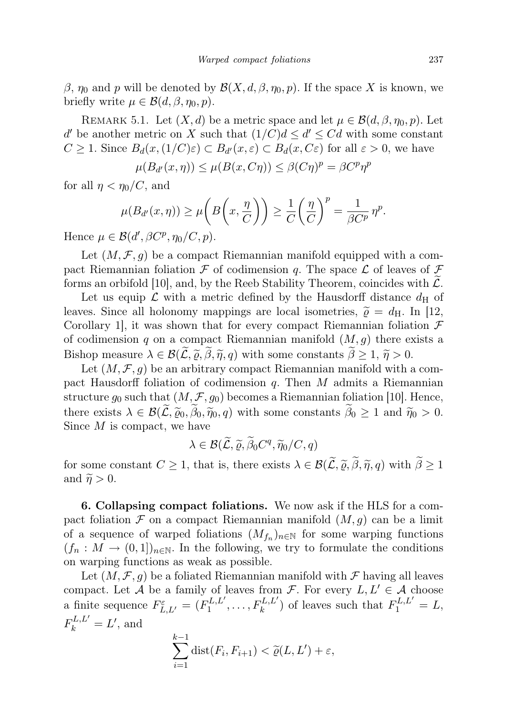β,  $η_0$  and p will be denoted by  $\mathcal{B}(X, d, \beta, η_0, p)$ . If the space X is known, we briefly write  $\mu \in \mathcal{B}(d, \beta, \eta_0, p)$ .

REMARK 5.1. Let  $(X, d)$  be a metric space and let  $\mu \in \mathcal{B}(d, \beta, \eta_0, p)$ . Let d' be another metric on X such that  $(1/C)d \leq d' \leq Cd$  with some constant  $C \geq 1$ . Since  $B_d(x, (1/C)\varepsilon) \subset B_{d'}(x, \varepsilon) \subset B_d(x, C\varepsilon)$  for all  $\varepsilon > 0$ , we have

$$
\mu(B_{d'}(x,\eta)) \le \mu(B(x,C\eta)) \le \beta(C\eta)^p = \beta C^p \eta^p
$$

for all  $\eta < \eta_0/C$ , and

$$
\mu(B_{d'}(x,\eta)) \ge \mu\bigg(B\bigg(x,\frac{\eta}{C}\bigg)\bigg) \ge \frac{1}{C}\bigg(\frac{\eta}{C}\bigg)^p = \frac{1}{\beta C^p} \eta^p.
$$

Hence  $\mu \in \mathcal{B}(d', \beta C^p, \eta_0/C, p).$ 

Let  $(M, \mathcal{F}, g)$  be a compact Riemannian manifold equipped with a compact Riemannian foliation F of codimension q. The space  $\mathcal L$  of leaves of F forms an orbifold [10], and, by the Reeb Stability Theorem, coincides with  $\mathcal{L}$ .

Let us equip  $\mathcal L$  with a metric defined by the Hausdorff distance  $d_H$  of leaves. Since all holonomy mappings are local isometries,  $\tilde{\rho} = d_H$ . In [12, Corollary 1, it was shown that for every compact Riemannian foliation  $\mathcal F$ of codimension q on a compact Riemannian manifold  $(M, g)$  there exists a Bishop measure  $\lambda \in \mathcal{B}(\widetilde{\mathcal{L}}, \widetilde{\varrho}, \widetilde{\eta}, q)$  with some constants  $\widetilde{\beta} \geq 1, \widetilde{\eta} > 0$ .

Let  $(M, \mathcal{F}, q)$  be an arbitrary compact Riemannian manifold with a compact Hausdorff foliation of codimension q. Then  $M$  admits a Riemannian structure  $g_0$  such that  $(M, \mathcal{F}, g_0)$  becomes a Riemannian foliation [10]. Hence, there exists  $\lambda \in \mathcal{B}(\widetilde{\mathcal{L}}, \widetilde{\varrho}_0, \widetilde{\eta}_0, q)$  with some constants  $\widetilde{\beta}_0 \geq 1$  and  $\widetilde{\eta}_0 > 0$ . Since  $M$  is compact, we have

$$
\lambda \in \mathcal{B}(\widetilde{\mathcal{L}}, \widetilde{\varrho}, \widetilde{\beta}_0 C^q, \widetilde{\eta}_0 / C, q)
$$

for some constant  $C \geq 1$ , that is, there exists  $\lambda \in \mathcal{B}(\mathcal{L}, \tilde{\varrho}, \beta, \tilde{\eta}, q)$  with  $\beta \geq 1$ and  $\widetilde{\eta} > 0$ .

6. Collapsing compact foliations. We now ask if the HLS for a compact foliation  $\mathcal F$  on a compact Riemannian manifold  $(M, g)$  can be a limit of a sequence of warped foliations  $(M_{f_n})_{n\in\mathbb{N}}$  for some warping functions  $(f_n: M \to (0,1])_{n\in\mathbb{N}}$ . In the following, we try to formulate the conditions on warping functions as weak as possible.

Let  $(M, \mathcal{F}, g)$  be a foliated Riemannian manifold with  $\mathcal{F}$  having all leaves compact. Let A be a family of leaves from F. For every  $L, L' \in \mathcal{A}$  choose a finite sequence  $F_{L,L'}^{\varepsilon} = (F_1^{L,L'}$  $T_1^{L,L'}, \ldots, F_k^{L,L'}$  of leaves such that  $F_1^{L,L'} = L$ ,  $F_k^{L,L'} = L'$ , and

$$
\sum_{i=1}^{k-1} \text{dist}(F_i, F_{i+1}) < \widetilde{\varrho}(L, L') + \varepsilon,
$$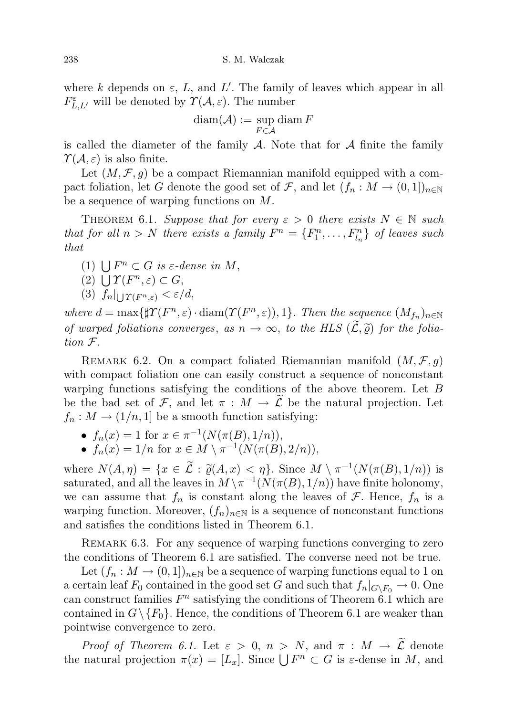where k depends on  $\varepsilon$ , L, and L'. The family of leaves which appear in all  $F_{L,L'}^{\varepsilon}$  will be denoted by  $\Upsilon(\mathcal{A}, \varepsilon)$ . The number

$$
\operatorname{diam}(\mathcal{A}):=\sup_{F\in\mathcal{A}}\operatorname{diam} F
$$

is called the diameter of the family  $\mathcal A$ . Note that for  $\mathcal A$  finite the family  $\Upsilon(\mathcal{A}, \varepsilon)$  is also finite.

Let  $(M, \mathcal{F}, g)$  be a compact Riemannian manifold equipped with a compact foliation, let G denote the good set of F, and let  $(f_n : M \to (0,1])_{n\in\mathbb{N}}$ be a sequence of warping functions on M.

THEOREM 6.1. Suppose that for every  $\varepsilon > 0$  there exists  $N \in \mathbb{N}$  such that for all  $n > N$  there exists a family  $F^n = \{F_1^n, \ldots, F_{l_n}^n\}$  of leaves such that

- (1)  $\bigcup F^n \subset G$  is  $\varepsilon$ -dense in M,
- (2)  $\bigcup T(F^n, \varepsilon) \subset G,$
- (3)  $f_n|_{\bigcup \Upsilon(F^n,\varepsilon)} < \varepsilon/d,$

where  $d = \max\{ \sharp \Upsilon(F^n, \varepsilon) \cdot \text{diam}(\Upsilon(F^n, \varepsilon)), 1 \}.$  Then the sequence  $(M_{f_n})_{n \in \mathbb{N}}$ of warped foliations converges, as  $n \to \infty$ , to the HLS  $(\widetilde{\mathcal{L}}, \widetilde{\rho})$  for the foliation F.

REMARK 6.2. On a compact foliated Riemannian manifold  $(M, \mathcal{F}, g)$ with compact foliation one can easily construct a sequence of nonconstant warping functions satisfying the conditions of the above theorem. Let B be the bad set of F, and let  $\pi : M \to \mathcal{L}$  be the natural projection. Let  $f_n: M \to (1/n, 1]$  be a smooth function satisfying:

- $f_n(x) = 1$  for  $x \in \pi^{-1}(N(\pi(B), 1/n)),$
- $f_n(x) = 1/n$  for  $x \in M \setminus \pi^{-1}(N(\pi(B), 2/n)),$

where  $N(A, \eta) = \{x \in \tilde{L} : \tilde{\varrho}(A, x) < \eta\}$ . Since  $M \setminus \pi^{-1}(N(\pi(B), 1/n))$  is<br>seturated and all the leaves in  $M \setminus \pi^{-1}(N(\pi(B), 1/n))$  have finite helenomy saturated, and all the leaves in  $M \setminus \pi^{-1}(N(\pi(B), 1/n))$  have finite holonomy, we can assume that  $f_n$  is constant along the leaves of  $\mathcal F$ . Hence,  $f_n$  is a warping function. Moreover,  $(f_n)_{n\in\mathbb{N}}$  is a sequence of nonconstant functions and satisfies the conditions listed in Theorem 6.1.

Remark 6.3. For any sequence of warping functions converging to zero the conditions of Theorem 6.1 are satisfied. The converse need not be true.

Let  $(f_n : M \to (0,1])_{n \in \mathbb{N}}$  be a sequence of warping functions equal to 1 on a certain leaf  $F_0$  contained in the good set G and such that  $f_n|_{G\setminus F_0}\to 0$ . One can construct families  $F^n$  satisfying the conditions of Theorem 6.1 which are contained in  $G \setminus \{F_0\}$ . Hence, the conditions of Theorem 6.1 are weaker than pointwise convergence to zero.

Proof of Theorem 6.1. Let  $\varepsilon > 0$ ,  $n > N$ , and  $\pi : M \to \widetilde{\mathcal{L}}$  denote the natural projection  $\pi(x) = [L_x]$ . Since  $\bigcup F^n \subset G$  is  $\varepsilon$ -dense in M, and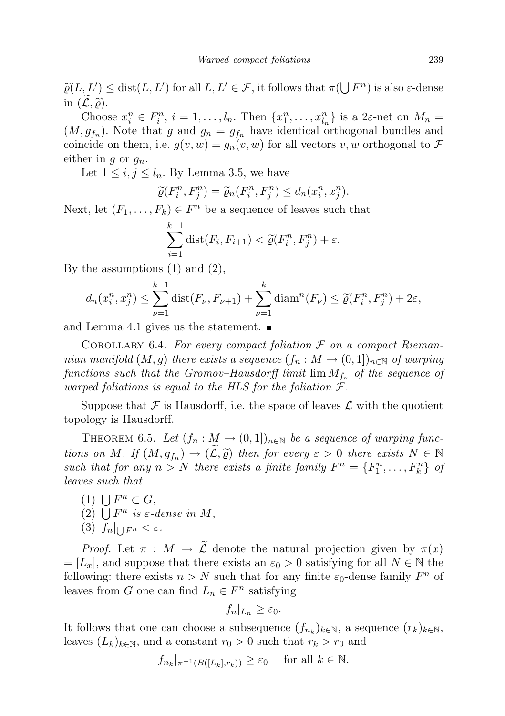$\widetilde{\varrho}(L, L') \leq \text{dist}(L, L')$  for all  $L, L' \in \mathcal{F}$ , it follows that  $\pi(\bigcup F^n)$  is also  $\varepsilon$ -dense in  $(\mathcal{L}, \widetilde{\varrho})$ .

Choose  $x_i^n \in F_i^n$ ,  $i = 1, \ldots, l_n$ . Then  $\{x_1^n, \ldots, x_{l_n}^n\}$  is a  $2\varepsilon$ -net on  $M_n =$  $(M, g_{f_n})$ . Note that g and  $g_n = g_{f_n}$  have identical orthogonal bundles and coincide on them, i.e.  $g(v, w) = g_n(v, w)$  for all vectors v, w orthogonal to F either in g or  $g_n$ .

Let  $1 \leq i, j \leq l_n$ . By Lemma 3.5, we have

$$
\widetilde{\varrho}(F_i^n, F_j^n) = \widetilde{\varrho}_n(F_i^n, F_j^n) \le d_n(x_i^n, x_j^n).
$$

Next, let  $(F_1, \ldots, F_k) \in F^n$  be a sequence of leaves such that

$$
\sum_{i=1}^{k-1} \text{dist}(F_i, F_{i+1}) < \widetilde{\varrho}(F_i^n, F_j^n) + \varepsilon.
$$

By the assumptions  $(1)$  and  $(2)$ ,

$$
d_n(x_i^n, x_j^n) \le \sum_{\nu=1}^{k-1} \text{dist}(F_{\nu}, F_{\nu+1}) + \sum_{\nu=1}^k \text{diam}^n(F_{\nu}) \le \tilde{\varrho}(F_i^n, F_j^n) + 2\varepsilon,
$$

and Lemma 4.1 gives us the statement.

COROLLARY 6.4. For every compact foliation  $\mathcal F$  on a compact Riemannian manifold  $(M, g)$  there exists a sequence  $(f_n : M \to (0, 1])_{n \in \mathbb{N}}$  of warping functions such that the Gromov–Hausdorff limit  $\lim M_{f_n}$  of the sequence of warped foliations is equal to the HLS for the foliation  $\mathcal{F}.$ 

Suppose that  $\mathcal F$  is Hausdorff, i.e. the space of leaves  $\mathcal L$  with the quotient topology is Hausdorff.

THEOREM 6.5. Let  $(f_n : M \to (0,1])_{n \in \mathbb{N}}$  be a sequence of warping functions on M. If  $(M, g_{f_n}) \to (\tilde{\mathcal{L}}, \tilde{\varrho})$  then for every  $\varepsilon > 0$  there exists  $N \in \mathbb{N}$ <br>such that for any  $n > N$  there exists a finite family  $F^n - \zeta F^n$  for  $F^n$ such that for any  $n > N$  there exists a finite family  $F^n = \{F_1^n, \ldots, F_k^n\}$  of leaves such that

- (1)  $\bigcup F^n \subset G$ ,
- (2)  $\bigcup F^n$  is  $\varepsilon$ -dense in M,
- (3)  $f_n|_{\bigcup F^n} < \varepsilon$ .

*Proof.* Let  $\pi : M \to \widetilde{\mathcal{L}}$  denote the natural projection given by  $\pi(x)$  $=[L_x]$ , and suppose that there exists an  $\varepsilon_0 > 0$  satisfying for all  $N \in \mathbb{N}$  the following: there exists  $n > N$  such that for any finite  $\varepsilon_0$ -dense family  $F^n$  of leaves from G one can find  $L_n \in F^n$  satisfying

$$
f_n|_{L_n}\geq \varepsilon_0.
$$

It follows that one can choose a subsequence  $(f_{n_k})_{k \in \mathbb{N}}$ , a sequence  $(r_k)_{k \in \mathbb{N}}$ , leaves  $(L_k)_{k\in\mathbb{N}}$ , and a constant  $r_0 > 0$  such that  $r_k > r_0$  and

$$
f_{n_k}|_{\pi^{-1}(B([L_k], r_k))} \geq \varepsilon_0
$$
 for all  $k \in \mathbb{N}$ .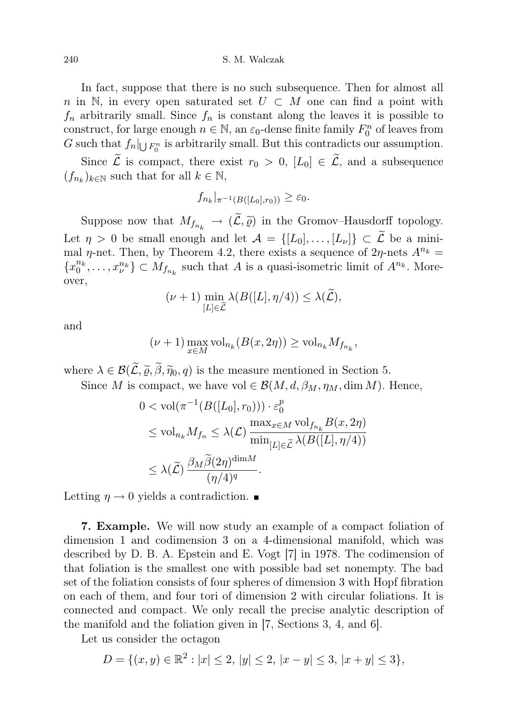240 S. M. Walczak

In fact, suppose that there is no such subsequence. Then for almost all n in N, in every open saturated set  $U \subset M$  one can find a point with  $f_n$  arbitrarily small. Since  $f_n$  is constant along the leaves it is possible to construct, for large enough  $n \in \mathbb{N}$ , an  $\varepsilon_0$ -dense finite family  $F_0^n$  of leaves from G such that  $f_n|_{\bigcup F_0^n}$  is arbitrarily small. But this contradicts our assumption.

Since  $\widetilde{\mathcal{L}}$  is compact, there exist  $r_0 > 0$ ,  $[L_0] \in \widetilde{\mathcal{L}}$ , and a subsequence  $(f_{n_k})_{k \in \mathbb{N}}$  such that for all  $k \in \mathbb{N}$ ,

$$
f_{n_k}|_{\pi^{-1}(B([L_0],r_0))} \geq \varepsilon_0.
$$

Suppose now that  $M_{f_{n_k}} \to (\widetilde{\mathcal{L}}, \widetilde{\varrho})$  in the Gromov–Hausdorff topology. Let  $\eta > 0$  be small enough and let  $\mathcal{A} = \{[L_0], \ldots, [L_{\nu}]\} \subset \widetilde{\mathcal{L}}$  be a minimal  $\eta$ -net. Then, by Theorem 4.2, there exists a sequence of  $2\eta$ -nets  $A^{n_k} =$  ${x_0^{n_k}, \ldots, x_{\nu}^{n_k}} \subset M_{f_{n_k}}$  such that A is a quasi-isometric limit of  $A^{n_k}$ . Moreover,

$$
(\nu+1)\min_{[L]\in\widetilde{\mathcal{L}}} \lambda(B([L], \eta/4)) \leq \lambda(\widetilde{\mathcal{L}}),
$$

and

$$
(\nu+1) \max_{x \in M} \text{vol}_{n_k}(B(x, 2\eta)) \ge \text{vol}_{n_k} M_{f_{n_k}},
$$

where  $\lambda \in \mathcal{B}(\widetilde{\mathcal{L}}, \widetilde{\varrho}, \widetilde{\beta}, \widetilde{\eta}_0, q)$  is the measure mentioned in Section 5.

Since M is compact, we have vol  $\in \mathcal{B}(M, d, \beta_M, \eta_M, \dim M)$ . Hence,

$$
0 < \text{vol}(\pi^{-1}(B([L_0], r_0))) \cdot \varepsilon_0^p
$$
\n
$$
\leq \text{vol}_{n_k} M_{f_n} \leq \lambda(\mathcal{L}) \frac{\max_{x \in M} \text{vol}_{f_{n_k}} B(x, 2\eta)}{\min_{[L] \in \widetilde{\mathcal{L}}} \lambda(B([L], \eta/4))}
$$
\n
$$
\leq \lambda(\widetilde{\mathcal{L}}) \frac{\beta_M \widetilde{\beta}(2\eta)^{\text{dim}M}}{(\eta/4)^q}.
$$

Letting  $\eta \rightarrow 0$  yields a contradiction.

7. Example. We will now study an example of a compact foliation of dimension 1 and codimension 3 on a 4-dimensional manifold, which was described by D. B. A. Epstein and E. Vogt [7] in 1978. The codimension of that foliation is the smallest one with possible bad set nonempty. The bad set of the foliation consists of four spheres of dimension 3 with Hopf fibration on each of them, and four tori of dimension 2 with circular foliations. It is connected and compact. We only recall the precise analytic description of the manifold and the foliation given in [7, Sections 3, 4, and 6].

Let us consider the octagon

$$
D=\{(x,y)\in\mathbb{R}^2: |x|\leq 2,\, |y|\leq 2,\, |x-y|\leq 3,\, |x+y|\leq 3\},
$$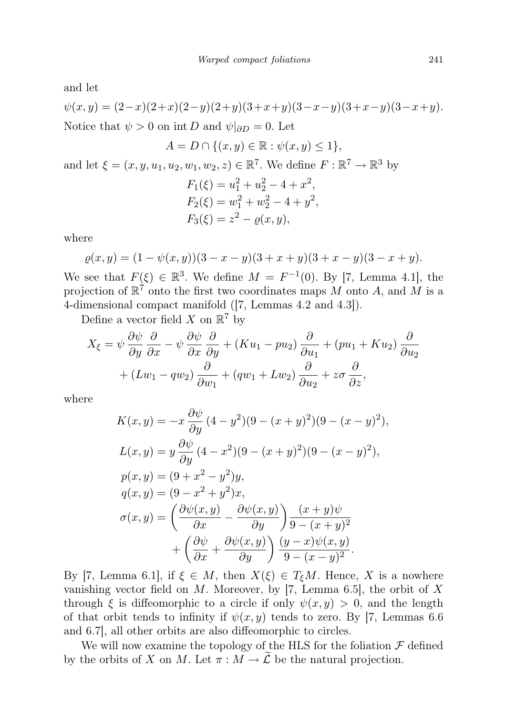and let

$$
\psi(x,y) = (2-x)(2+x)(2-y)(2+y)(3+x+y)(3-x-y)(3+x-y)(3-x+y).
$$
  
Notice that  $\psi > 0$  on int *D* and  $\psi|_{\partial D} = 0$ . Let

$$
A = D \cap \{(x, y) \in \mathbb{R} : \psi(x, y) \le 1\},\
$$

and let  $\xi = (x, y, u_1, u_2, w_1, w_2, z) \in \mathbb{R}^7$ . We define  $F : \mathbb{R}^7 \to \mathbb{R}^3$  by

$$
F_1(\xi) = u_1^2 + u_2^2 - 4 + x^2,
$$
  
\n
$$
F_2(\xi) = w_1^2 + w_2^2 - 4 + y^2,
$$
  
\n
$$
F_3(\xi) = z^2 - \varrho(x, y),
$$

where

$$
\varrho(x,y) = (1 - \psi(x,y))(3 - x - y)(3 + x + y)(3 + x - y)(3 - x + y).
$$

We see that  $F(\xi) \in \mathbb{R}^3$ . We define  $M = F^{-1}(0)$ . By [7, Lemma 4.1], the projection of  $\mathbb{R}^7$  onto the first two coordinates maps M onto A, and M is a 4-dimensional compact manifold ([7, Lemmas 4.2 and 4.3]).

Define a vector field X on  $\mathbb{R}^7$  by

$$
X_{\xi} = \psi \frac{\partial \psi}{\partial y} \frac{\partial}{\partial x} - \psi \frac{\partial \psi}{\partial x} \frac{\partial}{\partial y} + (Ku_1 - pu_2) \frac{\partial}{\partial u_1} + (pu_1 + Ku_2) \frac{\partial}{\partial u_2} + (Lw_1 - qu_2) \frac{\partial}{\partial w_1} + (qw_1 + Lw_2) \frac{\partial}{\partial u_2} + z\sigma \frac{\partial}{\partial z},
$$

where

$$
K(x,y) = -x \frac{\partial \psi}{\partial y} (4 - y^2)(9 - (x + y)^2)(9 - (x - y)^2),
$$
  
\n
$$
L(x,y) = y \frac{\partial \psi}{\partial y} (4 - x^2)(9 - (x + y)^2)(9 - (x - y)^2),
$$
  
\n
$$
p(x,y) = (9 + x^2 - y^2)y,
$$
  
\n
$$
q(x,y) = (9 - x^2 + y^2)x,
$$
  
\n
$$
\sigma(x,y) = \left(\frac{\partial \psi(x,y)}{\partial x} - \frac{\partial \psi(x,y)}{\partial y}\right) \frac{(x + y)\psi}{9 - (x + y)^2}
$$
  
\n
$$
+ \left(\frac{\partial \psi}{\partial x} + \frac{\partial \psi(x,y)}{\partial y}\right) \frac{(y - x)\psi(x,y)}{9 - (x - y)^2}.
$$

By [7, Lemma 6.1], if  $\xi \in M$ , then  $X(\xi) \in T_{\xi}M$ . Hence, X is a nowhere vanishing vector field on M. Moreover, by [7, Lemma 6.5], the orbit of X through  $\xi$  is diffeomorphic to a circle if only  $\psi(x, y) > 0$ , and the length of that orbit tends to infinity if  $\psi(x, y)$  tends to zero. By [7, Lemmas 6.6 and 6.7], all other orbits are also diffeomorphic to circles.

We will now examine the topology of the HLS for the foliation  $\mathcal F$  defined by the orbits of X on M. Let  $\pi : M \to \widetilde{\mathcal{L}}$  be the natural projection.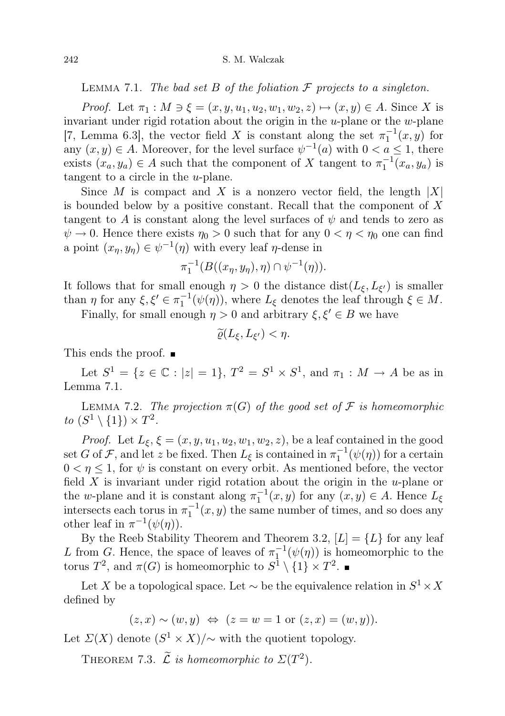LEMMA 7.1. The bad set B of the foliation  $\mathcal F$  projects to a singleton.

*Proof.* Let  $\pi_1 : M \ni \xi = (x, y, u_1, u_2, w_1, w_2, z) \mapsto (x, y) \in A$ . Since X is invariant under rigid rotation about the origin in the  $u$ -plane or the  $w$ -plane [7, Lemma 6.3], the vector field X is constant along the set  $\pi_1^{-1}(x, y)$  for any  $(x, y) \in A$ . Moreover, for the level surface  $\psi^{-1}(a)$  with  $0 < a \leq 1$ , there exists  $(x_a, y_a) \in A$  such that the component of X tangent to  $\pi_1^{-1}(x_a, y_a)$  is tangent to a circle in the u-plane.

Since M is compact and X is a nonzero vector field, the length  $|X|$ is bounded below by a positive constant. Recall that the component of X tangent to A is constant along the level surfaces of  $\psi$  and tends to zero as  $\psi \to 0$ . Hence there exists  $\eta_0 > 0$  such that for any  $0 < \eta < \eta_0$  one can find a point  $(x_{\eta}, y_{\eta}) \in \psi^{-1}(\eta)$  with every leaf  $\eta$ -dense in

$$
\pi_1^{-1}(B((x_\eta, y_\eta), \eta) \cap \psi^{-1}(\eta)).
$$

It follows that for small enough  $\eta > 0$  the distance  $dist(L_{\xi}, L_{\xi'})$  is smaller than  $\eta$  for any  $\xi, \xi' \in \pi_1^{-1}(\psi(\eta))$ , where  $L_{\xi}$  denotes the leaf through  $\xi \in M$ .

Finally, for small enough  $\eta > 0$  and arbitrary  $\xi, \xi' \in B$  we have

$$
\widetilde{\varrho}(L_{\xi},L_{\xi'})<\eta.
$$

This ends the proof. ■

Let  $S^1 = \{ z \in \mathbb{C} : |z| = 1 \}, T^2 = S^1 \times S^1$ , and  $\pi_1 : M \to A$  be as in Lemma 7.1.

LEMMA 7.2. The projection  $\pi(G)$  of the good set of  $\mathcal F$  is homeomorphic to  $(S^1 \setminus \{1\}) \times T^2$ .

*Proof.* Let  $L_{\xi}$ ,  $\xi = (x, y, u_1, u_2, w_1, w_2, z)$ , be a leaf contained in the good set G of F, and let z be fixed. Then  $L_{\xi}$  is contained in  $\pi_1^{-1}(\psi(\eta))$  for a certain  $0 < \eta \leq 1$ , for  $\psi$  is constant on every orbit. As mentioned before, the vector field  $X$  is invariant under rigid rotation about the origin in the  $u$ -plane or the w-plane and it is constant along  $\pi_1^{-1}(x, y)$  for any  $(x, y) \in A$ . Hence  $L_{\xi}$ intersects each torus in  $\pi_1^{-1}(x, y)$  the same number of times, and so does any other leaf in  $\pi^{-1}(\psi(\eta))$ .

By the Reeb Stability Theorem and Theorem 3.2,  $[L] = \{L\}$  for any leaf L from G. Hence, the space of leaves of  $\pi_1^{-1}(\psi(\eta))$  is homeomorphic to the torus  $T^2$ , and  $\pi(G)$  is homeomorphic to  $S^1 \setminus \{1\} \times T^2$ .

Let X be a topological space. Let  $\sim$  be the equivalence relation in  $S^1 \times X$ defined by

 $(z, x) \sim (w, y) \Leftrightarrow (z = w = 1 \text{ or } (z, x) = (w, y)).$ 

Let  $\mathcal{L}(X)$  denote  $(S^1 \times X)/\sim$  with the quotient topology.

THEOREM 7.3.  $\widetilde{\mathcal{L}}$  is homeomorphic to  $\Sigma(T^2)$ .